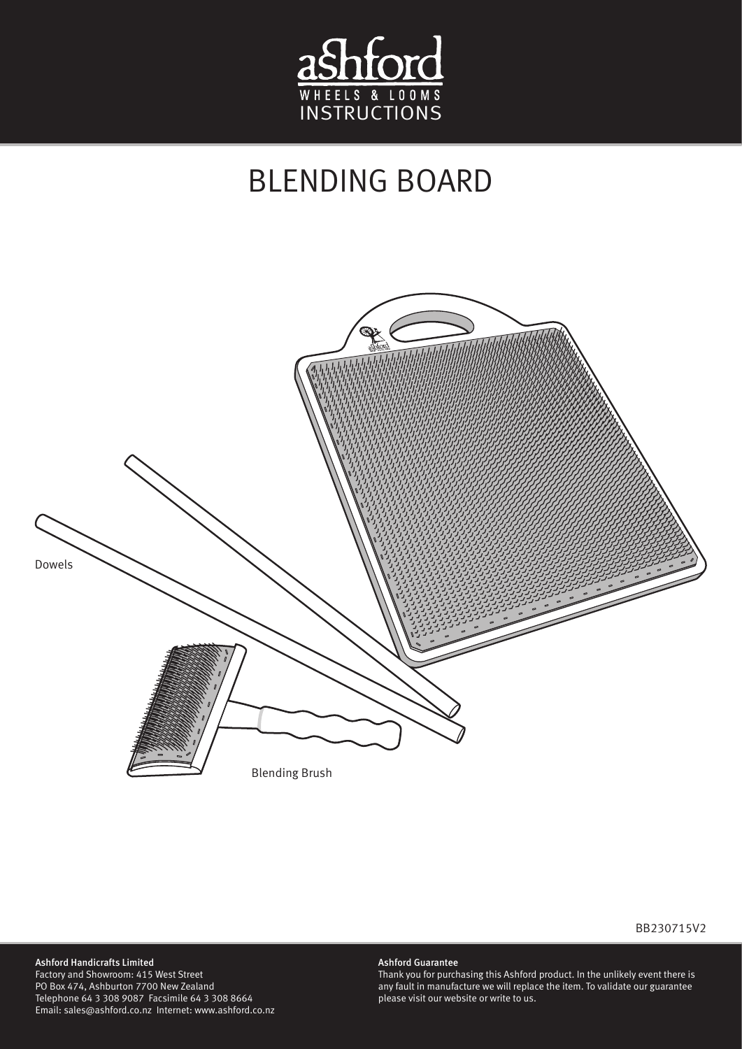

## BLENDING BOARD



## BB230715V2

## Ashford Handicrafts Limited

Factory and Showroom: 415 West Street PO Box 474, Ashburton 7700 New Zealand Telephone 64 3 308 9087 Facsimile 64 3 308 8664 Email: sales@ashford.co.nz Internet: www.ashford.co.nz

## Ashford Guarantee

Thank you for purchasing this Ashford product. In the unlikely event there is any fault in manufacture we will replace the item. To validate our guarantee please visit our website or write to us.